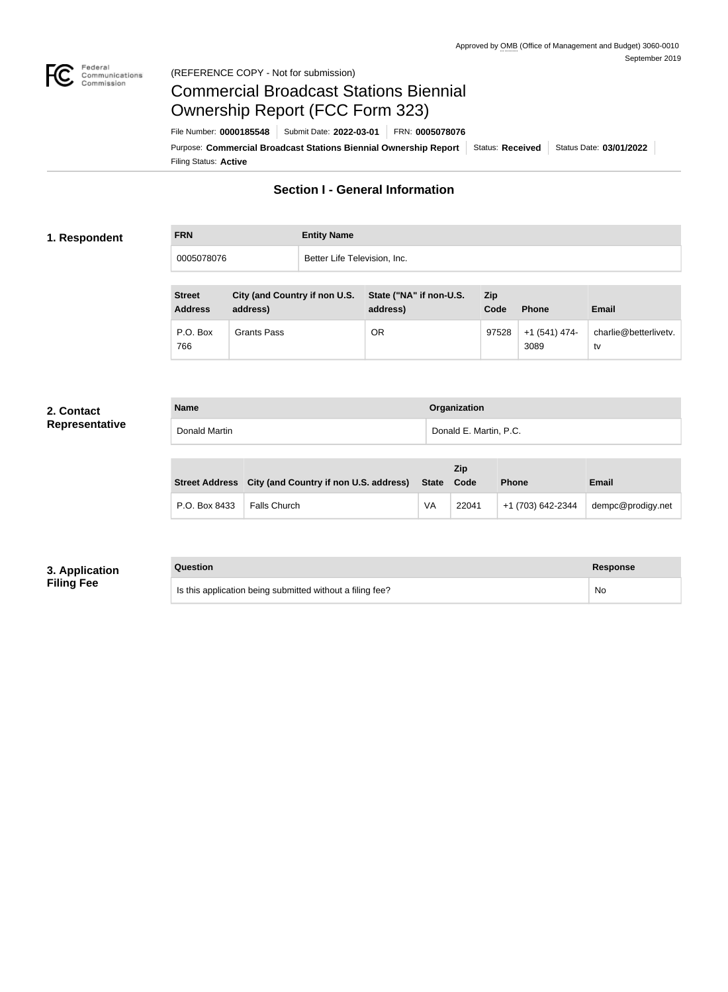

#### Federal<br>Communications<br>Commission (REFERENCE COPY - Not for submission)

# Commercial Broadcast Stations Biennial Ownership Report (FCC Form 323)

Filing Status: **Active** Purpose: Commercial Broadcast Stations Biennial Ownership Report Status: Received Status Date: 03/01/2022 File Number: **0000185548** Submit Date: **2022-03-01** FRN: **0005078076**

# **Section I - General Information**

#### **1. Respondent**

| <b>FRN</b> | <b>Entity Name</b>           |
|------------|------------------------------|
| 0005078076 | Better Life Television, Inc. |

| <b>Street</b><br><b>Address</b> | City (and Country if non U.S.<br>address) | State ("NA" if non-U.S.<br>address) | Zip<br>Code | Phone                  | <b>Email</b>                |
|---------------------------------|-------------------------------------------|-------------------------------------|-------------|------------------------|-----------------------------|
| P.O. Box<br>766                 | Grants Pass                               | <b>OR</b>                           | 97528       | $+1(541)$ 474-<br>3089 | charlie@betterlivetv.<br>tv |

#### **2. Contact Representative**

| <b>Name</b>   | Organization           |
|---------------|------------------------|
| Donald Martin | Donald E. Martin, P.C. |
|               |                        |
|               | <b>7in</b>             |

| <b>Zip</b>    |                                                                  |    |       |                   |                   |
|---------------|------------------------------------------------------------------|----|-------|-------------------|-------------------|
|               | Street Address City (and Country if non U.S. address) State Code |    |       | <b>Phone</b>      | <b>Email</b>      |
| P.O. Box 8433 | <b>Falls Church</b>                                              | VA | 22041 | +1 (703) 642-2344 | dempc@prodigy.net |

## **3. Application Filing Fee**

#### **Question Response**

| Is this application being submitted without a filing fee? | <b>No</b> |
|-----------------------------------------------------------|-----------|
|                                                           |           |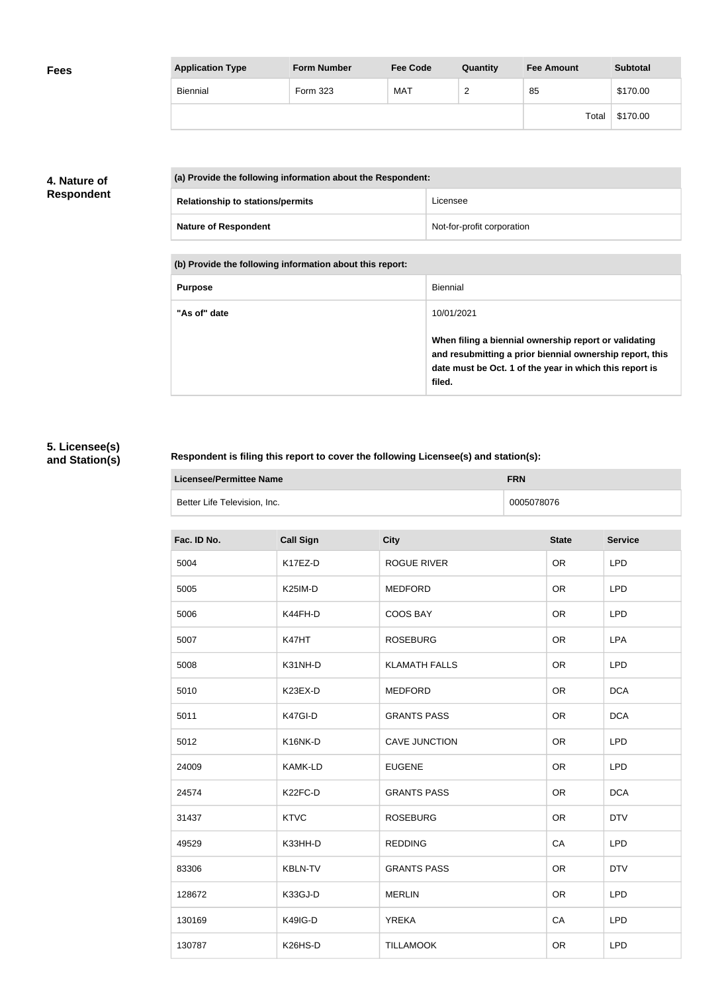| <b>Fees</b> | <b>Application Type</b> | <b>Form Number</b> | <b>Fee Code</b> | Quantity | <b>Fee Amount</b> | <b>Subtotal</b> |
|-------------|-------------------------|--------------------|-----------------|----------|-------------------|-----------------|
|             | Biennial                | Form 323           | <b>MAT</b>      | ∼        | 85                | \$170.00        |
|             |                         |                    |                 |          | Total             | \$170.00        |

## **4. Nature of Respondent**

| (a) Provide the following information about the Respondent: |                            |  |
|-------------------------------------------------------------|----------------------------|--|
| <b>Relationship to stations/permits</b>                     | Licensee                   |  |
| <b>Nature of Respondent</b>                                 | Not-for-profit corporation |  |

**(b) Provide the following information about this report:**

| <b>Purpose</b> | Biennial                                                                                                                                                                               |
|----------------|----------------------------------------------------------------------------------------------------------------------------------------------------------------------------------------|
| "As of" date   | 10/01/2021                                                                                                                                                                             |
|                | When filing a biennial ownership report or validating<br>and resubmitting a prior biennial ownership report, this<br>date must be Oct. 1 of the year in which this report is<br>filed. |

## **5. Licensee(s) and Station(s)**

### **Respondent is filing this report to cover the following Licensee(s) and station(s):**

| Licensee/Permittee Name      | <b>FRN</b> |
|------------------------------|------------|
| Better Life Television, Inc. | 0005078076 |

| Fac. ID No. | <b>Call Sign</b> | <b>City</b>          | <b>State</b> | <b>Service</b> |
|-------------|------------------|----------------------|--------------|----------------|
| 5004        | K17EZ-D          | <b>ROGUE RIVER</b>   | <b>OR</b>    | <b>LPD</b>     |
| 5005        | K25IM-D          | <b>MEDFORD</b>       | <b>OR</b>    | <b>LPD</b>     |
| 5006        | K44FH-D          | <b>COOS BAY</b>      | <b>OR</b>    | <b>LPD</b>     |
| 5007        | K47HT            | <b>ROSEBURG</b>      | <b>OR</b>    | <b>LPA</b>     |
| 5008        | K31NH-D          | <b>KLAMATH FALLS</b> | <b>OR</b>    | <b>LPD</b>     |
| 5010        | K23EX-D          | <b>MEDFORD</b>       | <b>OR</b>    | <b>DCA</b>     |
| 5011        | K47GI-D          | <b>GRANTS PASS</b>   | <b>OR</b>    | <b>DCA</b>     |
| 5012        | K16NK-D          | <b>CAVE JUNCTION</b> | <b>OR</b>    | <b>LPD</b>     |
| 24009       | <b>KAMK-LD</b>   | <b>EUGENE</b>        | <b>OR</b>    | <b>LPD</b>     |
| 24574       | K22FC-D          | <b>GRANTS PASS</b>   | <b>OR</b>    | <b>DCA</b>     |
| 31437       | <b>KTVC</b>      | <b>ROSEBURG</b>      | <b>OR</b>    | <b>DTV</b>     |
| 49529       | K33HH-D          | <b>REDDING</b>       | CA           | <b>LPD</b>     |
| 83306       | <b>KBLN-TV</b>   | <b>GRANTS PASS</b>   | <b>OR</b>    | <b>DTV</b>     |
| 128672      | K33GJ-D          | <b>MERLIN</b>        | <b>OR</b>    | <b>LPD</b>     |
| 130169      | K49IG-D          | <b>YREKA</b>         | CA           | <b>LPD</b>     |
| 130787      | K26HS-D          | <b>TILLAMOOK</b>     | <b>OR</b>    | <b>LPD</b>     |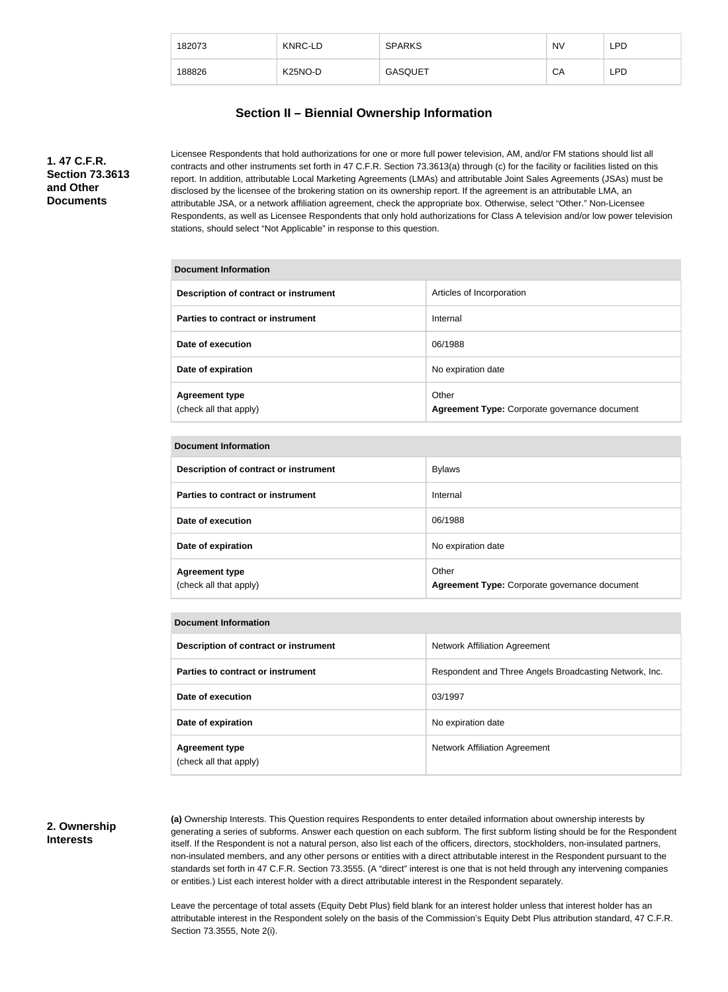| 182073 | KNRC-LD              | <b>SPARKS</b>  | <b>NV</b> | LPD |
|--------|----------------------|----------------|-----------|-----|
| 188826 | K <sub>25</sub> NO-D | <b>GASQUET</b> | СA        | LPD |

## **Section II – Biennial Ownership Information**

**1. 47 C.F.R. Section 73.3613 and Other Documents**

Licensee Respondents that hold authorizations for one or more full power television, AM, and/or FM stations should list all contracts and other instruments set forth in 47 C.F.R. Section 73.3613(a) through (c) for the facility or facilities listed on this report. In addition, attributable Local Marketing Agreements (LMAs) and attributable Joint Sales Agreements (JSAs) must be disclosed by the licensee of the brokering station on its ownership report. If the agreement is an attributable LMA, an attributable JSA, or a network affiliation agreement, check the appropriate box. Otherwise, select "Other." Non-Licensee Respondents, as well as Licensee Respondents that only hold authorizations for Class A television and/or low power television stations, should select "Not Applicable" in response to this question.

# **Document Information Description of contract or instrument Articles of Incorporation Parties to contract or instrument Internal Date of execution** 06/1988 **Date of expiration** No expiration date **Agreement type** (check all that apply) **Other Agreement Type:** Corporate governance document

| Description of contract or instrument           | <b>Bylaws</b>                                          |
|-------------------------------------------------|--------------------------------------------------------|
| Parties to contract or instrument               | Internal                                               |
| Date of execution                               | 06/1988                                                |
| Date of expiration                              | No expiration date                                     |
| <b>Agreement type</b><br>(check all that apply) | Other<br>Agreement Type: Corporate governance document |

#### **Document Information**

| Description of contract or instrument           | Network Affiliation Agreement                          |
|-------------------------------------------------|--------------------------------------------------------|
| Parties to contract or instrument               | Respondent and Three Angels Broadcasting Network, Inc. |
| Date of execution                               | 03/1997                                                |
| Date of expiration                              | No expiration date                                     |
| <b>Agreement type</b><br>(check all that apply) | Network Affiliation Agreement                          |

#### **2. Ownership Interests**

**(a)** Ownership Interests. This Question requires Respondents to enter detailed information about ownership interests by generating a series of subforms. Answer each question on each subform. The first subform listing should be for the Respondent itself. If the Respondent is not a natural person, also list each of the officers, directors, stockholders, non-insulated partners, non-insulated members, and any other persons or entities with a direct attributable interest in the Respondent pursuant to the standards set forth in 47 C.F.R. Section 73.3555. (A "direct" interest is one that is not held through any intervening companies or entities.) List each interest holder with a direct attributable interest in the Respondent separately.

Leave the percentage of total assets (Equity Debt Plus) field blank for an interest holder unless that interest holder has an attributable interest in the Respondent solely on the basis of the Commission's Equity Debt Plus attribution standard, 47 C.F.R. Section 73.3555, Note 2(i).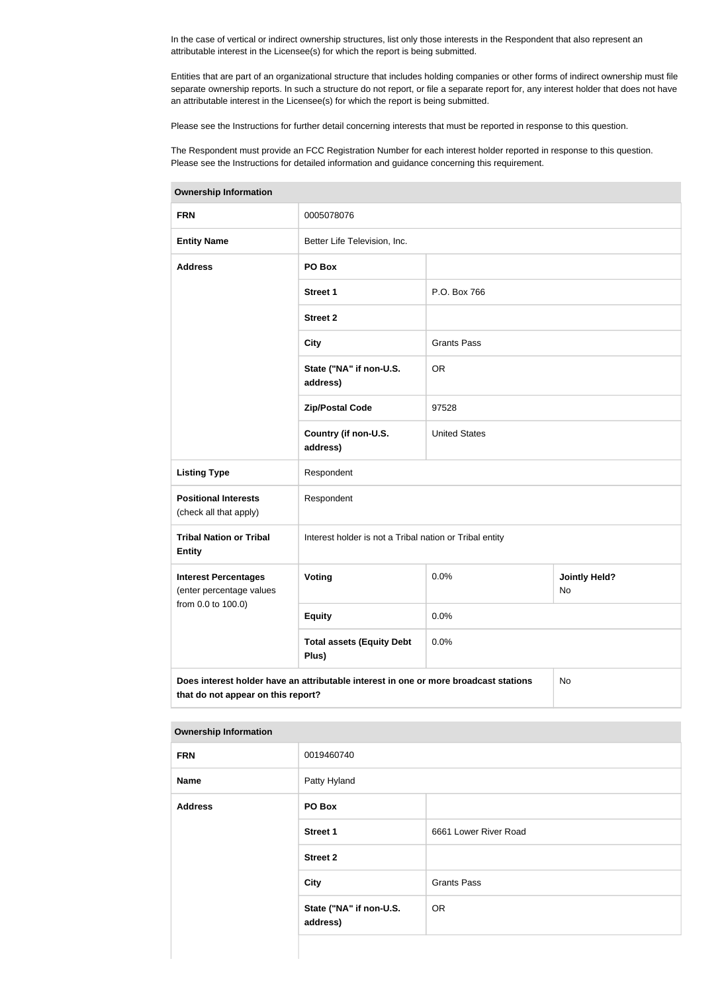In the case of vertical or indirect ownership structures, list only those interests in the Respondent that also represent an attributable interest in the Licensee(s) for which the report is being submitted.

Entities that are part of an organizational structure that includes holding companies or other forms of indirect ownership must file separate ownership reports. In such a structure do not report, or file a separate report for, any interest holder that does not have an attributable interest in the Licensee(s) for which the report is being submitted.

Please see the Instructions for further detail concerning interests that must be reported in response to this question.

The Respondent must provide an FCC Registration Number for each interest holder reported in response to this question. Please see the Instructions for detailed information and guidance concerning this requirement.

| ווטוואווויטווון קוווטוסוויט                                                                                                      |                                                         |                      |                            |
|----------------------------------------------------------------------------------------------------------------------------------|---------------------------------------------------------|----------------------|----------------------------|
| <b>FRN</b>                                                                                                                       | 0005078076                                              |                      |                            |
| <b>Entity Name</b>                                                                                                               | Better Life Television, Inc.                            |                      |                            |
| <b>Address</b>                                                                                                                   | PO Box                                                  |                      |                            |
|                                                                                                                                  | <b>Street 1</b>                                         | P.O. Box 766         |                            |
|                                                                                                                                  | <b>Street 2</b>                                         |                      |                            |
|                                                                                                                                  | <b>City</b>                                             | <b>Grants Pass</b>   |                            |
|                                                                                                                                  | State ("NA" if non-U.S.<br>address)                     | <b>OR</b>            |                            |
|                                                                                                                                  | <b>Zip/Postal Code</b>                                  | 97528                |                            |
|                                                                                                                                  | Country (if non-U.S.<br>address)                        | <b>United States</b> |                            |
| <b>Listing Type</b>                                                                                                              | Respondent                                              |                      |                            |
| <b>Positional Interests</b><br>(check all that apply)                                                                            | Respondent                                              |                      |                            |
| <b>Tribal Nation or Tribal</b><br><b>Entity</b>                                                                                  | Interest holder is not a Tribal nation or Tribal entity |                      |                            |
| <b>Interest Percentages</b><br>(enter percentage values                                                                          | Voting                                                  | 0.0%                 | <b>Jointly Held?</b><br>No |
| from 0.0 to 100.0)                                                                                                               | <b>Equity</b>                                           | 0.0%                 |                            |
|                                                                                                                                  | <b>Total assets (Equity Debt</b><br>Plus)               | 0.0%                 |                            |
| Does interest holder have an attributable interest in one or more broadcast stations<br>No<br>that do not appear on this report? |                                                         |                      |                            |

#### **Ownership Information**

| <b>Ownership Information</b> |                                     |                       |
|------------------------------|-------------------------------------|-----------------------|
| <b>FRN</b>                   | 0019460740                          |                       |
| <b>Name</b>                  | Patty Hyland                        |                       |
| <b>Address</b>               | PO Box                              |                       |
|                              | <b>Street 1</b>                     | 6661 Lower River Road |
|                              | <b>Street 2</b>                     |                       |
|                              | <b>City</b>                         | <b>Grants Pass</b>    |
|                              | State ("NA" if non-U.S.<br>address) | <b>OR</b>             |
|                              |                                     |                       |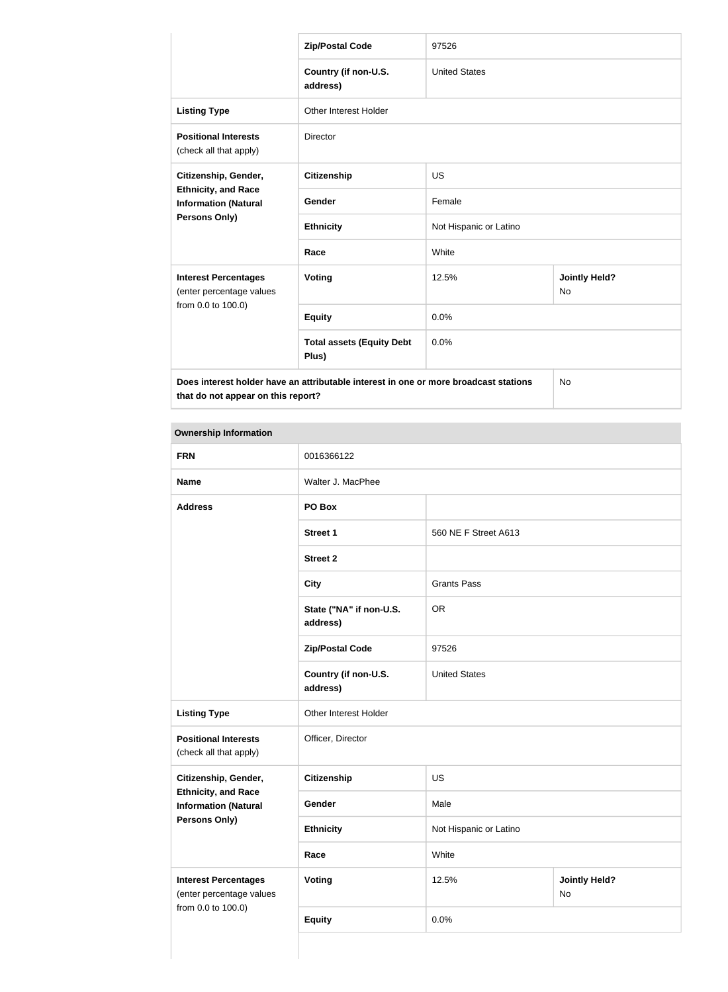|                                                                                      | 97526<br><b>Zip/Postal Code</b>           |                        |                                   |
|--------------------------------------------------------------------------------------|-------------------------------------------|------------------------|-----------------------------------|
|                                                                                      | Country (if non-U.S.<br>address)          | <b>United States</b>   |                                   |
| <b>Listing Type</b>                                                                  | Other Interest Holder                     |                        |                                   |
| <b>Positional Interests</b><br>(check all that apply)                                | <b>Director</b>                           |                        |                                   |
| Citizenship, Gender,                                                                 | <b>Citizenship</b>                        | <b>US</b>              |                                   |
| <b>Ethnicity, and Race</b><br><b>Information (Natural</b><br><b>Persons Only)</b>    | Gender                                    | Female                 |                                   |
|                                                                                      | <b>Ethnicity</b>                          | Not Hispanic or Latino |                                   |
|                                                                                      | Race                                      | White                  |                                   |
| <b>Interest Percentages</b><br>(enter percentage values<br>from 0.0 to 100.0)        | Voting                                    | 12.5%                  | <b>Jointly Held?</b><br><b>No</b> |
|                                                                                      | <b>Equity</b>                             | 0.0%                   |                                   |
|                                                                                      | <b>Total assets (Equity Debt</b><br>Plus) | 0.0%                   |                                   |
| Does interest holder have an attributable interest in one or more broadcast stations |                                           | <b>No</b>              |                                   |

| <b>Ownership Information</b>                                                  |                                     |                        |                                       |
|-------------------------------------------------------------------------------|-------------------------------------|------------------------|---------------------------------------|
| <b>FRN</b>                                                                    | 0016366122                          |                        |                                       |
| <b>Name</b>                                                                   | Walter J. MacPhee                   |                        |                                       |
| <b>Address</b>                                                                | PO Box                              |                        |                                       |
|                                                                               | <b>Street 1</b>                     | 560 NE F Street A613   |                                       |
|                                                                               | <b>Street 2</b>                     |                        |                                       |
|                                                                               | <b>City</b>                         | <b>Grants Pass</b>     |                                       |
|                                                                               | State ("NA" if non-U.S.<br>address) | <b>OR</b>              |                                       |
|                                                                               | <b>Zip/Postal Code</b>              | 97526                  |                                       |
|                                                                               | Country (if non-U.S.<br>address)    | <b>United States</b>   |                                       |
| <b>Listing Type</b>                                                           | Other Interest Holder               |                        |                                       |
| <b>Positional Interests</b><br>(check all that apply)                         | Officer, Director                   |                        |                                       |
| Citizenship, Gender,                                                          | <b>Citizenship</b>                  | <b>US</b>              |                                       |
| <b>Ethnicity, and Race</b><br><b>Information (Natural</b>                     | Gender                              | Male                   |                                       |
| <b>Persons Only)</b>                                                          | <b>Ethnicity</b>                    | Not Hispanic or Latino |                                       |
|                                                                               | Race                                | White                  |                                       |
| <b>Interest Percentages</b><br>(enter percentage values<br>from 0.0 to 100.0) | <b>Voting</b>                       | 12.5%                  | <b>Jointly Held?</b><br>$\mathsf{No}$ |
|                                                                               | <b>Equity</b>                       | 0.0%                   |                                       |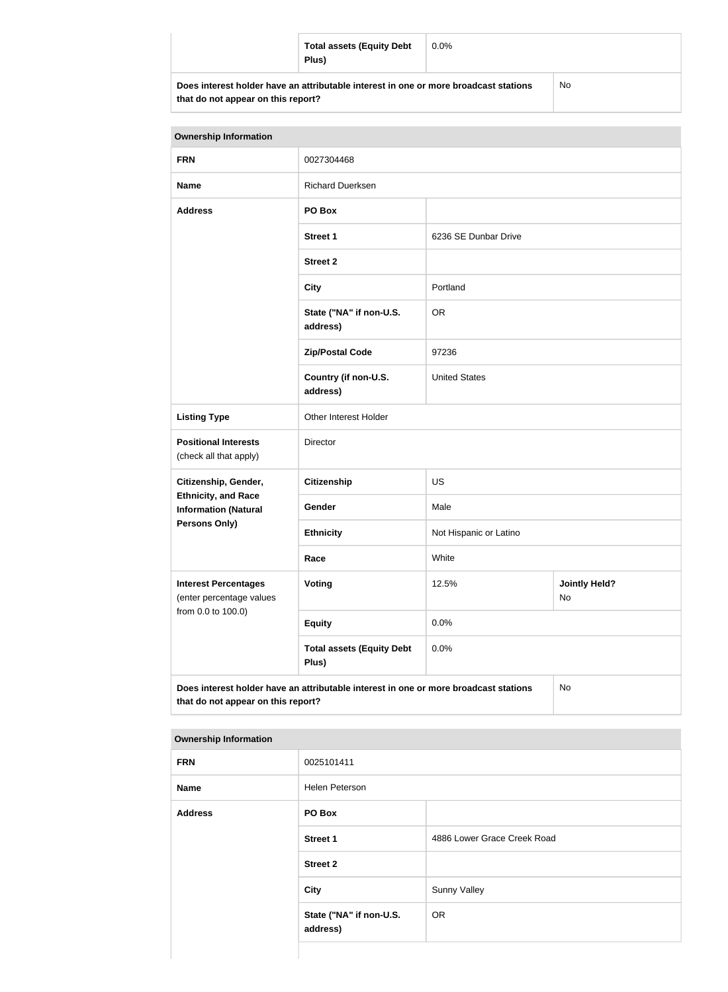| <b>Total assets (Equity Debt</b><br>Plus)                                            | $0.0\%$ |           |
|--------------------------------------------------------------------------------------|---------|-----------|
| Does interest holder have an attributable interest in one or more broadcast stations |         | <b>No</b> |

| that do not appear on this report? |
|------------------------------------|
|------------------------------------|

| <b>Ownership Information</b>                          |                                     |                      |
|-------------------------------------------------------|-------------------------------------|----------------------|
| <b>FRN</b>                                            | 0027304468                          |                      |
| <b>Name</b>                                           | <b>Richard Duerksen</b>             |                      |
| <b>Address</b>                                        | PO Box                              |                      |
|                                                       | <b>Street 1</b>                     | 6236 SE Dunbar Drive |
|                                                       | <b>Street 2</b>                     |                      |
|                                                       | <b>City</b>                         | Portland             |
|                                                       | State ("NA" if non-U.S.<br>address) | <b>OR</b>            |
|                                                       | <b>Zip/Postal Code</b>              | 97236                |
|                                                       | Country (if non-U.S.<br>address)    | <b>United States</b> |
| <b>Listing Type</b>                                   | Other Interest Holder               |                      |
| <b>Positional Interests</b><br>(check all that apply) | Director                            |                      |
| Citizenship, Gender,                                  | <b>Citizenship</b>                  | <b>US</b>            |

| <b>Listing Type</b>                                                        | Other Interest Holder                                                                |                        |                                   |
|----------------------------------------------------------------------------|--------------------------------------------------------------------------------------|------------------------|-----------------------------------|
| <b>Positional Interests</b><br>(check all that apply)                      | <b>Director</b>                                                                      |                        |                                   |
| Citizenship, Gender,                                                       | <b>Citizenship</b>                                                                   | <b>US</b>              |                                   |
| <b>Ethnicity, and Race</b><br><b>Information (Natural</b><br>Persons Only) | Gender                                                                               | Male                   |                                   |
|                                                                            | <b>Ethnicity</b>                                                                     | Not Hispanic or Latino |                                   |
|                                                                            | Race                                                                                 | White                  |                                   |
| <b>Interest Percentages</b><br>(enter percentage values                    | <b>Voting</b>                                                                        | 12.5%                  | <b>Jointly Held?</b><br><b>No</b> |
| from 0.0 to 100.0)                                                         | <b>Equity</b>                                                                        | 0.0%                   |                                   |
|                                                                            | <b>Total assets (Equity Debt</b><br>Plus)                                            | 0.0%                   |                                   |
| that do not appear on this report?                                         | Does interest holder have an attributable interest in one or more broadcast stations |                        | No.                               |

# **Ownership Information**

| <b>FRN</b>     | 0025101411                          |                             |
|----------------|-------------------------------------|-----------------------------|
| <b>Name</b>    | Helen Peterson                      |                             |
| <b>Address</b> | PO Box                              |                             |
|                | <b>Street 1</b>                     | 4886 Lower Grace Creek Road |
|                | <b>Street 2</b>                     |                             |
|                | <b>City</b>                         | <b>Sunny Valley</b>         |
|                | State ("NA" if non-U.S.<br>address) | <b>OR</b>                   |
|                |                                     |                             |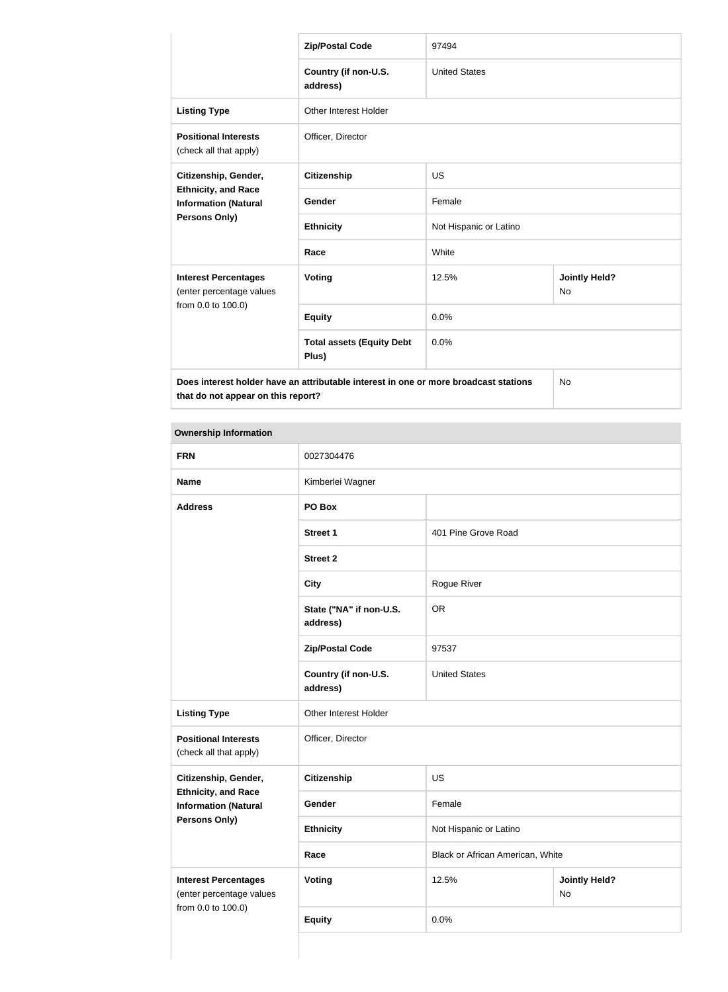|                                                                                      | <b>Zip/Postal Code</b>                    | 97494                  |                                   |
|--------------------------------------------------------------------------------------|-------------------------------------------|------------------------|-----------------------------------|
|                                                                                      | Country (if non-U.S.<br>address)          | <b>United States</b>   |                                   |
| <b>Listing Type</b>                                                                  | <b>Other Interest Holder</b>              |                        |                                   |
| <b>Positional Interests</b><br>(check all that apply)                                | Officer, Director                         |                        |                                   |
| Citizenship, Gender,                                                                 | <b>Citizenship</b>                        | <b>US</b>              |                                   |
| <b>Ethnicity, and Race</b><br><b>Information (Natural</b><br><b>Persons Only)</b>    | <b>Gender</b>                             | Female                 |                                   |
|                                                                                      | <b>Ethnicity</b>                          | Not Hispanic or Latino |                                   |
|                                                                                      | Race                                      | White                  |                                   |
| <b>Interest Percentages</b><br>(enter percentage values<br>from 0.0 to 100.0)        | Voting                                    | 12.5%                  | <b>Jointly Held?</b><br><b>No</b> |
|                                                                                      | <b>Equity</b>                             | 0.0%                   |                                   |
|                                                                                      | <b>Total assets (Equity Debt</b><br>Plus) | 0.0%                   |                                   |
| Does interest holder have an attributable interest in one or more broadcast stations |                                           | <b>No</b>              |                                   |

| <b>Ownership Information</b>                                                  |                                     |                                  |                            |  |
|-------------------------------------------------------------------------------|-------------------------------------|----------------------------------|----------------------------|--|
| <b>FRN</b>                                                                    | 0027304476                          |                                  |                            |  |
| <b>Name</b>                                                                   | Kimberlei Wagner                    |                                  |                            |  |
| <b>Address</b>                                                                | PO Box                              |                                  |                            |  |
|                                                                               | <b>Street 1</b>                     | 401 Pine Grove Road              |                            |  |
|                                                                               | <b>Street 2</b>                     |                                  |                            |  |
|                                                                               | <b>City</b>                         | Rogue River                      |                            |  |
|                                                                               | State ("NA" if non-U.S.<br>address) | <b>OR</b>                        |                            |  |
|                                                                               | <b>Zip/Postal Code</b>              | 97537                            |                            |  |
|                                                                               | Country (if non-U.S.<br>address)    | <b>United States</b>             |                            |  |
| <b>Listing Type</b>                                                           | Other Interest Holder               |                                  |                            |  |
| <b>Positional Interests</b><br>(check all that apply)                         | Officer, Director                   |                                  |                            |  |
| Citizenship, Gender,                                                          | <b>Citizenship</b>                  | <b>US</b>                        |                            |  |
| <b>Ethnicity, and Race</b><br><b>Information (Natural</b>                     | Gender                              | Female                           |                            |  |
| <b>Persons Only)</b>                                                          | <b>Ethnicity</b>                    | Not Hispanic or Latino           |                            |  |
|                                                                               | Race                                | Black or African American, White |                            |  |
| <b>Interest Percentages</b><br>(enter percentage values<br>from 0.0 to 100.0) | <b>Voting</b>                       | 12.5%                            | <b>Jointly Held?</b><br>No |  |
|                                                                               | <b>Equity</b>                       | 0.0%                             |                            |  |
|                                                                               |                                     |                                  |                            |  |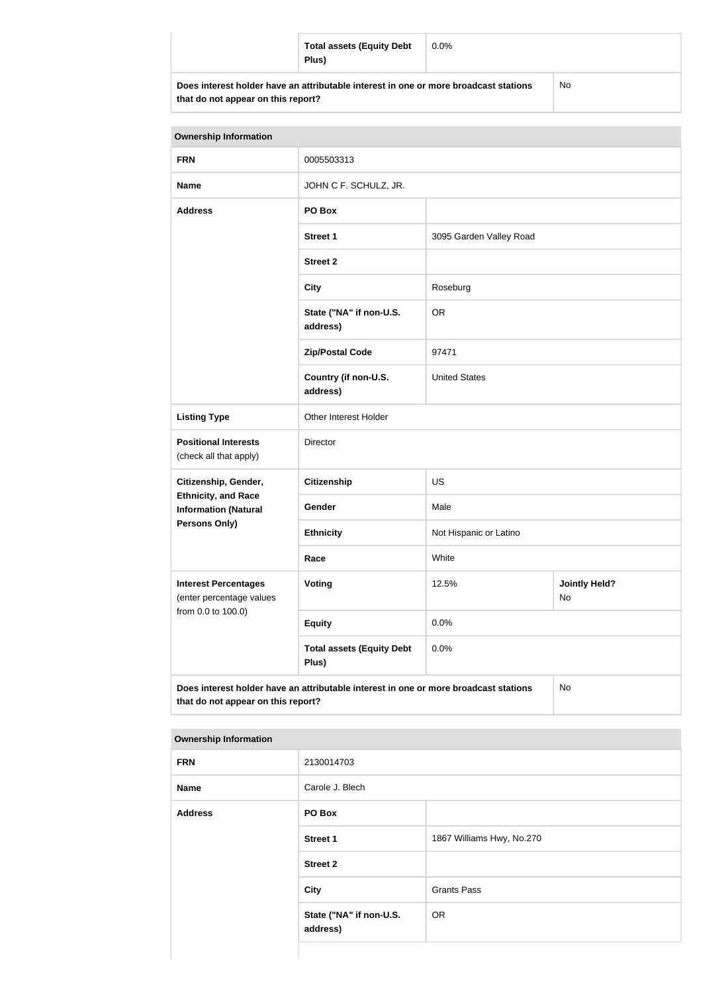|                                                                                      | <b>Total assets (Equity Debt</b><br>Plus) | $0.0\%$ |  |
|--------------------------------------------------------------------------------------|-------------------------------------------|---------|--|
| Does interest holder have an attributable interest in one or more broadcast stations |                                           | No      |  |

| <b>Ownership Information</b>                                                                                                     |                                           |                         |                            |  |
|----------------------------------------------------------------------------------------------------------------------------------|-------------------------------------------|-------------------------|----------------------------|--|
| <b>FRN</b>                                                                                                                       | 0005503313                                |                         |                            |  |
| <b>Name</b>                                                                                                                      | JOHN C F. SCHULZ, JR.                     |                         |                            |  |
| <b>Address</b>                                                                                                                   | PO Box                                    |                         |                            |  |
|                                                                                                                                  | <b>Street 1</b>                           | 3095 Garden Valley Road |                            |  |
|                                                                                                                                  | <b>Street 2</b>                           |                         |                            |  |
|                                                                                                                                  | <b>City</b>                               | Roseburg                |                            |  |
|                                                                                                                                  | State ("NA" if non-U.S.<br>address)       | <b>OR</b>               |                            |  |
|                                                                                                                                  | <b>Zip/Postal Code</b>                    | 97471                   |                            |  |
|                                                                                                                                  | Country (if non-U.S.<br>address)          | <b>United States</b>    |                            |  |
| <b>Listing Type</b>                                                                                                              | Other Interest Holder                     |                         |                            |  |
| <b>Positional Interests</b><br>(check all that apply)                                                                            | Director                                  |                         |                            |  |
| Citizenship, Gender,                                                                                                             | <b>Citizenship</b>                        | <b>US</b>               |                            |  |
| <b>Ethnicity, and Race</b><br><b>Information (Natural</b>                                                                        | Gender                                    | Male                    |                            |  |
| Persons Only)                                                                                                                    | <b>Ethnicity</b>                          | Not Hispanic or Latino  |                            |  |
|                                                                                                                                  | Race                                      | White                   |                            |  |
| <b>Interest Percentages</b><br>(enter percentage values                                                                          | <b>Voting</b>                             | 12.5%                   | <b>Jointly Held?</b><br>No |  |
| from 0.0 to 100.0)                                                                                                               | <b>Equity</b>                             | 0.0%                    |                            |  |
|                                                                                                                                  | <b>Total assets (Equity Debt</b><br>Plus) | 0.0%                    |                            |  |
| Does interest holder have an attributable interest in one or more broadcast stations<br>No<br>that do not appear on this report? |                                           |                         |                            |  |

| <b>FRN</b>     | 2130014703                          |                           |
|----------------|-------------------------------------|---------------------------|
| <b>Name</b>    | Carole J. Blech                     |                           |
| <b>Address</b> | PO Box                              |                           |
|                | <b>Street 1</b>                     | 1867 Williams Hwy, No.270 |
|                | <b>Street 2</b>                     |                           |
|                | <b>City</b>                         | <b>Grants Pass</b>        |
|                | State ("NA" if non-U.S.<br>address) | <b>OR</b>                 |
|                |                                     |                           |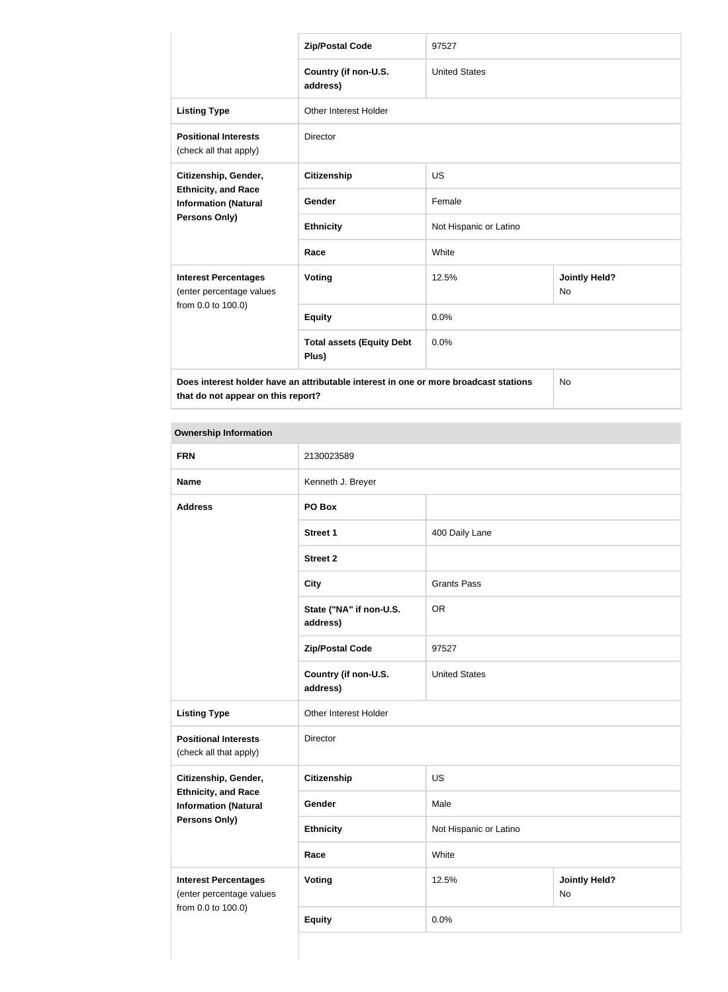|                                                                                                           | <b>Zip/Postal Code</b>                    | 97527                  |                                   |
|-----------------------------------------------------------------------------------------------------------|-------------------------------------------|------------------------|-----------------------------------|
|                                                                                                           | Country (if non-U.S.<br>address)          | <b>United States</b>   |                                   |
| <b>Listing Type</b>                                                                                       | Other Interest Holder                     |                        |                                   |
| <b>Positional Interests</b><br>(check all that apply)                                                     | <b>Director</b>                           |                        |                                   |
| Citizenship, Gender,<br><b>Ethnicity, and Race</b><br><b>Information (Natural</b><br><b>Persons Only)</b> | <b>Citizenship</b>                        | <b>US</b>              |                                   |
|                                                                                                           | Gender                                    | Female                 |                                   |
|                                                                                                           | <b>Ethnicity</b>                          | Not Hispanic or Latino |                                   |
|                                                                                                           | Race                                      | White                  |                                   |
| <b>Interest Percentages</b><br>(enter percentage values<br>from 0.0 to 100.0)                             | <b>Voting</b>                             | 12.5%                  | <b>Jointly Held?</b><br><b>No</b> |
|                                                                                                           | <b>Equity</b>                             | 0.0%                   |                                   |
|                                                                                                           | <b>Total assets (Equity Debt</b><br>Plus) | 0.0%                   |                                   |
| Does interest holder have an attributable interest in one or more broadcast stations                      |                                           | <b>No</b>              |                                   |

| <b>Ownership Information</b>                                                  |                                     |                        |                            |
|-------------------------------------------------------------------------------|-------------------------------------|------------------------|----------------------------|
| <b>FRN</b>                                                                    | 2130023589                          |                        |                            |
| <b>Name</b>                                                                   | Kenneth J. Breyer                   |                        |                            |
| <b>Address</b>                                                                | PO Box                              |                        |                            |
|                                                                               | <b>Street 1</b>                     | 400 Daily Lane         |                            |
|                                                                               | <b>Street 2</b>                     |                        |                            |
|                                                                               | <b>City</b>                         | <b>Grants Pass</b>     |                            |
|                                                                               | State ("NA" if non-U.S.<br>address) | <b>OR</b>              |                            |
|                                                                               | <b>Zip/Postal Code</b>              | 97527                  |                            |
|                                                                               | Country (if non-U.S.<br>address)    | <b>United States</b>   |                            |
| <b>Listing Type</b>                                                           | Other Interest Holder               |                        |                            |
| <b>Positional Interests</b><br>(check all that apply)                         | Director                            |                        |                            |
| Citizenship, Gender,                                                          | Citizenship                         | <b>US</b>              |                            |
| <b>Ethnicity, and Race</b><br><b>Information (Natural</b>                     | Gender                              | Male                   |                            |
| <b>Persons Only)</b>                                                          | <b>Ethnicity</b>                    | Not Hispanic or Latino |                            |
|                                                                               | Race                                | White                  |                            |
| <b>Interest Percentages</b><br>(enter percentage values<br>from 0.0 to 100.0) | <b>Voting</b>                       | 12.5%                  | <b>Jointly Held?</b><br>No |
|                                                                               | <b>Equity</b>                       | 0.0%                   |                            |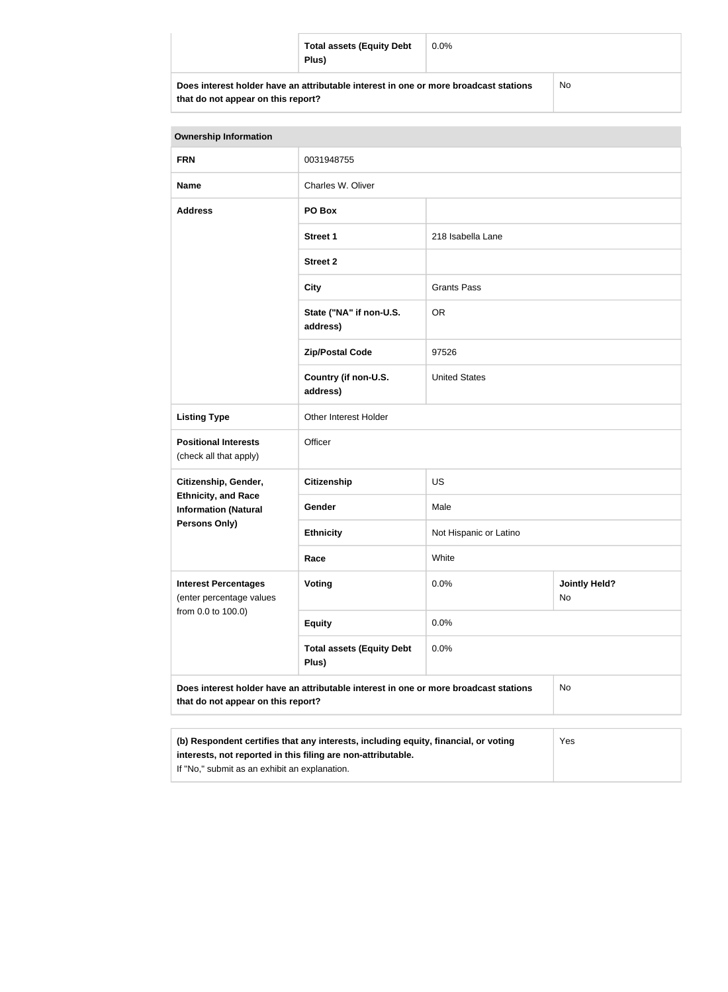|                                                                                      | <b>Total assets (Equity Debt</b><br>Plus) | $0.0\%$   |  |
|--------------------------------------------------------------------------------------|-------------------------------------------|-----------|--|
| Does interest holder have an attributable interest in one or more broadcast stations |                                           | <b>No</b> |  |

| <b>Ownership Information</b>                                                                                                                               |                                           |                        |                            |
|------------------------------------------------------------------------------------------------------------------------------------------------------------|-------------------------------------------|------------------------|----------------------------|
| <b>FRN</b>                                                                                                                                                 | 0031948755                                |                        |                            |
| <b>Name</b>                                                                                                                                                | Charles W. Oliver                         |                        |                            |
| <b>Address</b>                                                                                                                                             | PO Box                                    |                        |                            |
|                                                                                                                                                            | <b>Street 1</b>                           | 218 Isabella Lane      |                            |
|                                                                                                                                                            | <b>Street 2</b>                           |                        |                            |
|                                                                                                                                                            | <b>City</b>                               | <b>Grants Pass</b>     |                            |
|                                                                                                                                                            | State ("NA" if non-U.S.<br>address)       | <b>OR</b>              |                            |
|                                                                                                                                                            | <b>Zip/Postal Code</b>                    | 97526                  |                            |
|                                                                                                                                                            | Country (if non-U.S.<br>address)          | <b>United States</b>   |                            |
| <b>Listing Type</b>                                                                                                                                        | Other Interest Holder                     |                        |                            |
| <b>Positional Interests</b><br>(check all that apply)                                                                                                      | Officer                                   |                        |                            |
| Citizenship, Gender,                                                                                                                                       | <b>Citizenship</b>                        | US                     |                            |
| <b>Ethnicity, and Race</b><br><b>Information (Natural</b>                                                                                                  | Gender                                    | Male                   |                            |
| Persons Only)                                                                                                                                              | <b>Ethnicity</b>                          | Not Hispanic or Latino |                            |
|                                                                                                                                                            | Race                                      | White                  |                            |
| <b>Interest Percentages</b><br>(enter percentage values                                                                                                    | Voting                                    | 0.0%                   | <b>Jointly Held?</b><br>No |
| from 0.0 to 100.0)                                                                                                                                         | <b>Equity</b>                             | 0.0%                   |                            |
|                                                                                                                                                            | <b>Total assets (Equity Debt</b><br>Plus) | 0.0%                   |                            |
| Does interest holder have an attributable interest in one or more broadcast stations<br>that do not appear on this report?                                 |                                           | <b>No</b>              |                            |
| (b) Respondent certifies that any interests, including equity, financial, or voting<br>Yes<br>interests, not reported in this filing are non-attributable. |                                           |                        |                            |

If "No," submit as an exhibit an explanation.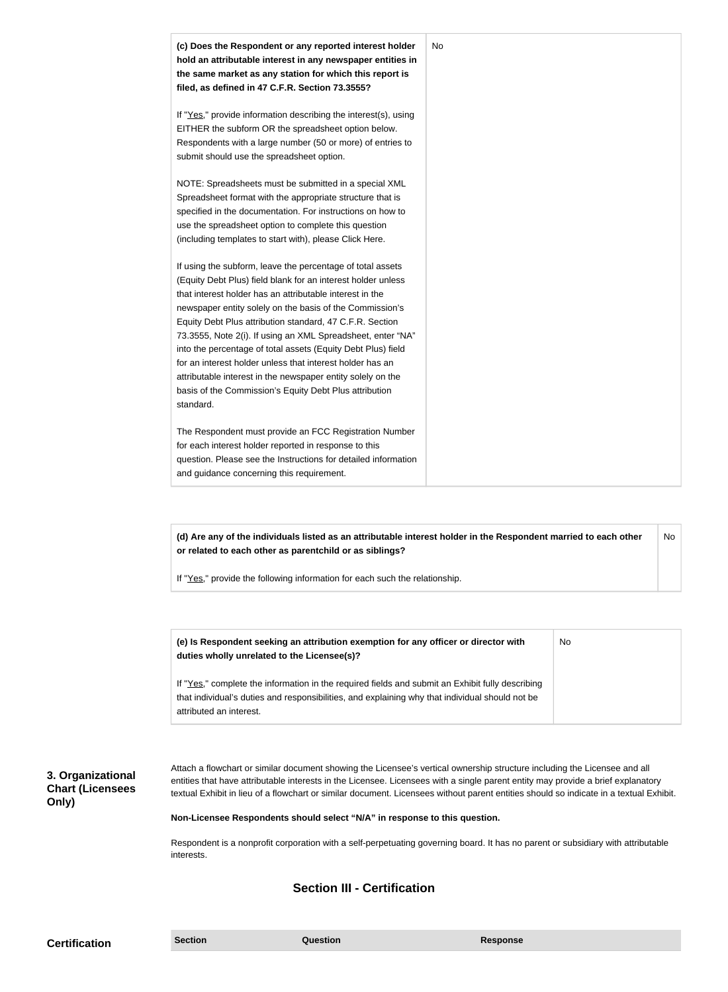

**(d) Are any of the individuals listed as an attributable interest holder in the Respondent married to each other or related to each other as parentchild or as siblings?** No

If "Yes," provide the following information for each such the relationship.

| (e) Is Respondent seeking an attribution exemption for any officer or director with<br>duties wholly unrelated to the Licensee(s)? | No |
|------------------------------------------------------------------------------------------------------------------------------------|----|
| If "Yes," complete the information in the required fields and submit an Exhibit fully describing                                   |    |
| that individual's duties and responsibilities, and explaining why that individual should not be                                    |    |
| attributed an interest.                                                                                                            |    |

**3. Organizational Chart (Licensees Only)**

Attach a flowchart or similar document showing the Licensee's vertical ownership structure including the Licensee and all entities that have attributable interests in the Licensee. Licensees with a single parent entity may provide a brief explanatory textual Exhibit in lieu of a flowchart or similar document. Licensees without parent entities should so indicate in a textual Exhibit.

#### **Non-Licensee Respondents should select "N/A" in response to this question.**

Respondent is a nonprofit corporation with a self-perpetuating governing board. It has no parent or subsidiary with attributable interests.

### **Section III - Certification**